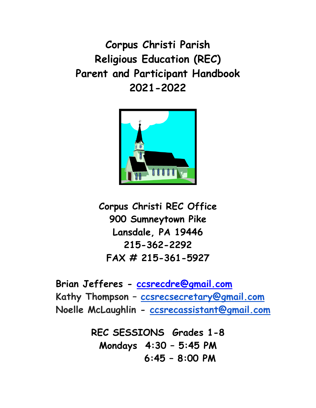**Corpus Christi Parish Religious Education (REC) Parent and Participant Handbook 2021-2022**



**Corpus Christi REC Office 900 Sumneytown Pike Lansdale, PA 19446 215-362-2292 FAX # 215-361-5927**

**Brian Jefferes - [ccsrecdre@gmail.com](mailto:ccsrecdre@gmail.com) Kathy Thompson – [ccsrecsecretary@gmail.com](mailto:ccsrecsecretary@gmail.com) Noelle McLaughlin - [ccsrecassistant@gmail.com](mailto:ccsrecassistant@gmail.com)**

> **REC SESSIONS Grades 1-8 Mondays 4:30 – 5:45 PM 6:45 – 8:00 PM**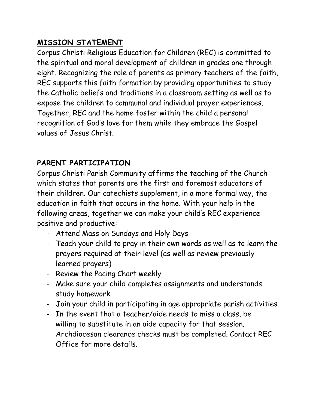# **MISSION STATEMENT**

Corpus Christi Religious Education for Children (REC) is committed to the spiritual and moral development of children in grades one through eight. Recognizing the role of parents as primary teachers of the faith, REC supports this faith formation by providing opportunities to study the Catholic beliefs and traditions in a classroom setting as well as to expose the children to communal and individual prayer experiences. Together, REC and the home foster within the child a personal recognition of God's love for them while they embrace the Gospel values of Jesus Christ.

# **PARENT PARTICIPATION**

Corpus Christi Parish Community affirms the teaching of the Church which states that parents are the first and foremost educators of their children. Our catechists supplement, in a more formal way, the education in faith that occurs in the home. With your help in the following areas, together we can make your child's REC experience positive and productive:

- Attend Mass on Sundays and Holy Days
- Teach your child to pray in their own words as well as to learn the prayers required at their level (as well as review previously learned prayers)
- Review the Pacing Chart weekly
- Make sure your child completes assignments and understands study homework
- Join your child in participating in age appropriate parish activities
- In the event that a teacher/aide needs to miss a class, be willing to substitute in an aide capacity for that session. Archdiocesan clearance checks must be completed. Contact REC Office for more details.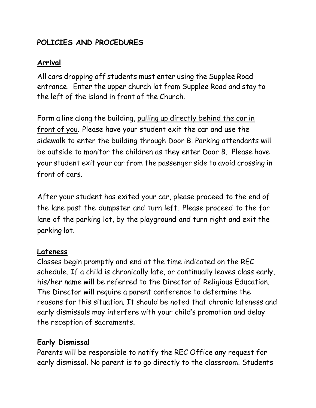# **POLICIES AND PROCEDURES**

## **Arrival**

All cars dropping off students must enter using the Supplee Road entrance. Enter the upper church lot from Supplee Road and stay to the left of the island in front of the Church.

Form a line along the building, pulling up directly behind the car in front of you. Please have your student exit the car and use the sidewalk to enter the building through Door B. Parking attendants will be outside to monitor the children as they enter Door B. Please have your student exit your car from the passenger side to avoid crossing in front of cars.

After your student has exited your car, please proceed to the end of the lane past the dumpster and turn left. Please proceed to the far lane of the parking lot, by the playground and turn right and exit the parking lot.

### **Lateness**

Classes begin promptly and end at the time indicated on the REC schedule. If a child is chronically late, or continually leaves class early, his/her name will be referred to the Director of Religious Education. The Director will require a parent conference to determine the reasons for this situation. It should be noted that chronic lateness and early dismissals may interfere with your child's promotion and delay the reception of sacraments.

# **Early Dismissal**

Parents will be responsible to notify the REC Office any request for early dismissal. No parent is to go directly to the classroom. Students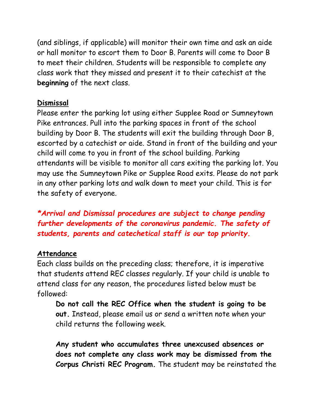(and siblings, if applicable) will monitor their own time and ask an aide or hall monitor to escort them to Door B. Parents will come to Door B to meet their children. Students will be responsible to complete any class work that they missed and present it to their catechist at the **beginning** of the next class.

#### **Dismissal**

Please enter the parking lot using either Supplee Road or Sumneytown Pike entrances. Pull into the parking spaces in front of the school building by Door B. The students will exit the building through Door B, escorted by a catechist or aide. Stand in front of the building and your child will come to you in front of the school building. Parking attendants will be visible to monitor all cars exiting the parking lot. You may use the Sumneytown Pike or Supplee Road exits. Please do not park in any other parking lots and walk down to meet your child. This is for the safety of everyone.

*\*Arrival and Dismissal procedures are subject to change pending further developments of the coronavirus pandemic. The safety of students, parents and catechetical staff is our top priority.* 

#### **Attendance**

Each class builds on the preceding class; therefore, it is imperative that students attend REC classes regularly. If your child is unable to attend class for any reason, the procedures listed below must be followed:

**Do not call the REC Office when the student is going to be out.** Instead, please email us or send a written note when your child returns the following week.

**Any student who accumulates three unexcused absences or does not complete any class work may be dismissed from the Corpus Christi REC Program.** The student may be reinstated the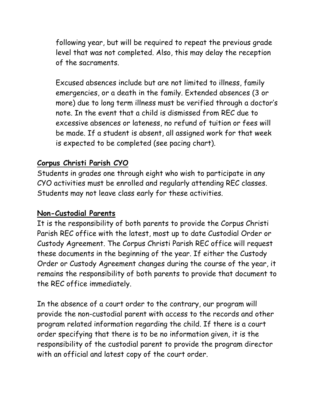following year, but will be required to repeat the previous grade level that was not completed. Also, this may delay the reception of the sacraments.

Excused absences include but are not limited to illness, family emergencies, or a death in the family. Extended absences (3 or more) due to long term illness must be verified through a doctor's note. In the event that a child is dismissed from REC due to excessive absences or lateness, no refund of tuition or fees will be made. If a student is absent, all assigned work for that week is expected to be completed (see pacing chart).

#### **Corpus Christi Parish CYO**

Students in grades one through eight who wish to participate in any CYO activities must be enrolled and regularly attending REC classes. Students may not leave class early for these activities.

#### **Non-Custodial Parents**

It is the responsibility of both parents to provide the Corpus Christi Parish REC office with the latest, most up to date Custodial Order or Custody Agreement. The Corpus Christi Parish REC office will request these documents in the beginning of the year. If either the Custody Order or Custody Agreement changes during the course of the year, it remains the responsibility of both parents to provide that document to the REC office immediately.

In the absence of a court order to the contrary, our program will provide the non-custodial parent with access to the records and other program related information regarding the child. If there is a court order specifying that there is to be no information given, it is the responsibility of the custodial parent to provide the program director with an official and latest copy of the court order.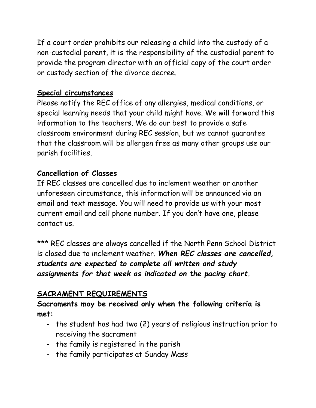If a court order prohibits our releasing a child into the custody of a non-custodial parent, it is the responsibility of the custodial parent to provide the program director with an official copy of the court order or custody section of the divorce decree.

#### **Special circumstances**

Please notify the REC office of any allergies, medical conditions, or special learning needs that your child might have. We will forward this information to the teachers. We do our best to provide a safe classroom environment during REC session, but we cannot guarantee that the classroom will be allergen free as many other groups use our parish facilities.

## **Cancellation of Classes**

If REC classes are cancelled due to inclement weather or another unforeseen circumstance, this information will be announced via an email and text message. You will need to provide us with your most current email and cell phone number. If you don't have one, please contact us.

\*\*\* REC classes are always cancelled if the North Penn School District is closed due to inclement weather. *When REC classes are cancelled, students are expected to complete all written and study assignments for that week as indicated on the pacing chart.*

# **SACRAMENT REQUIREMENTS**

**Sacraments may be received only when the following criteria is met:**

- the student has had two (2) years of religious instruction prior to receiving the sacrament
- the family is registered in the parish
- the family participates at Sunday Mass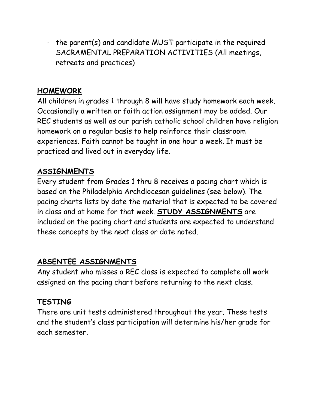- the parent(s) and candidate MUST participate in the required SACRAMENTAL PREPARATION ACTIVITIES (All meetings, retreats and practices)

## **HOMEWORK**

All children in grades 1 through 8 will have study homework each week. Occasionally a written or faith action assignment may be added. Our REC students as well as our parish catholic school children have religion homework on a regular basis to help reinforce their classroom experiences. Faith cannot be taught in one hour a week. It must be practiced and lived out in everyday life.

# **ASSIGNMENTS**

Every student from Grades 1 thru 8 receives a pacing chart which is based on the Philadelphia Archdiocesan guidelines (see below). The pacing charts lists by date the material that is expected to be covered in class and at home for that week. **STUDY ASSIGNMENTS** are included on the pacing chart and students are expected to understand these concepts by the next class or date noted.

# **ABSENTEE ASSIGNMENTS**

Any student who misses a REC class is expected to complete all work assigned on the pacing chart before returning to the next class.

# **TESTING**

There are unit tests administered throughout the year. These tests and the student's class participation will determine his/her grade for each semester.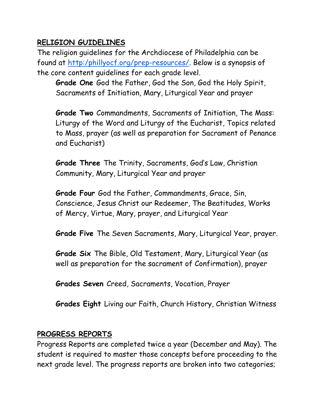## **RELIGION GUIDELINES**

The religion guidelines for the Archdiocese of Philadelphia can be found at [http:/phillyocf.org/prep-resources/.](http://phillyocf.org/prep-resources/) Below is a synopsis of the core content guidelines for each grade level.

**Grade One** God the Father, God the Son, God the Holy Spirit, Sacraments of Initiation, Mary, Liturgical Year and prayer

**Grade Two** Commandments, Sacraments of Initiation, The Mass: Liturgy of the Word and Liturgy of the Eucharist, Topics related to Mass, prayer (as well as preparation for Sacrament of Penance and Eucharist)

**Grade Three** The Trinity, Sacraments, God's Law, Christian Community, Mary, Liturgical Year and prayer

**Grade Four** God the Father, Commandments, Grace, Sin, Conscience, Jesus Christ our Redeemer, The Beatitudes, Works of Mercy, Virtue, Mary, prayer, and Liturgical Year

**Grade Five** The Seven Sacraments, Mary, Liturgical Year, prayer.

**Grade Six** The Bible, Old Testament, Mary, Liturgical Year (as well as preparation for the sacrament of Confirmation), prayer

**Grades Seven** Creed, Sacraments, Vocation, Prayer

**Grades Eight** Living our Faith, Church History, Christian Witness

### **PROGRESS REPORTS**

Progress Reports are completed twice a year (December and May). The student is required to master those concepts before proceeding to the next grade level. The progress reports are broken into two categories;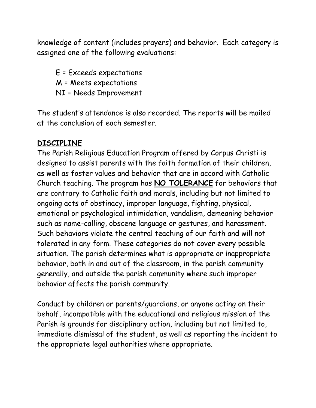knowledge of content (includes prayers) and behavior. Each category is assigned one of the following evaluations:

E = Exceeds expectations M = Meets expectations NI = Needs Improvement

The student's attendance is also recorded. The reports will be mailed at the conclusion of each semester.

### **DISCIPLINE**

The Parish Religious Education Program offered by Corpus Christi is designed to assist parents with the faith formation of their children, as well as foster values and behavior that are in accord with Catholic Church teaching. The program has **NO TOLERANCE** for behaviors that are contrary to Catholic faith and morals, including but not limited to ongoing acts of obstinacy, improper language, fighting, physical, emotional or psychological intimidation, vandalism, demeaning behavior such as name-calling, obscene language or gestures, and harassment. Such behaviors violate the central teaching of our faith and will not tolerated in any form. These categories do not cover every possible situation. The parish determines what is appropriate or inappropriate behavior, both in and out of the classroom, in the parish community generally, and outside the parish community where such improper behavior affects the parish community.

Conduct by children or parents/guardians, or anyone acting on their behalf, incompatible with the educational and religious mission of the Parish is grounds for disciplinary action, including but not limited to, immediate dismissal of the student, as well as reporting the incident to the appropriate legal authorities where appropriate.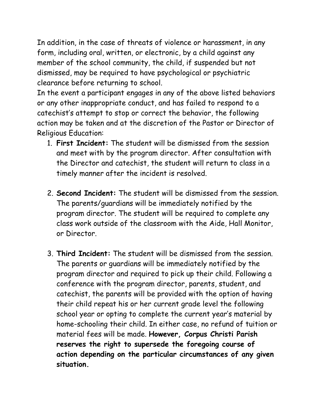In addition, in the case of threats of violence or harassment, in any form, including oral, written, or electronic, by a child against any member of the school community, the child, if suspended but not dismissed, may be required to have psychological or psychiatric clearance before returning to school.

In the event a participant engages in any of the above listed behaviors or any other inappropriate conduct, and has failed to respond to a catechist's attempt to stop or correct the behavior, the following action may be taken and at the discretion of the Pastor or Director of Religious Education:

- 1. **First Incident:** The student will be dismissed from the session and meet with by the program director. After consultation with the Director and catechist, the student will return to class in a timely manner after the incident is resolved.
- 2. **Second Incident:** The student will be dismissed from the session. The parents/guardians will be immediately notified by the program director. The student will be required to complete any class work outside of the classroom with the Aide, Hall Monitor, or Director.
- 3. **Third Incident:** The student will be dismissed from the session. The parents or guardians will be immediately notified by the program director and required to pick up their child. Following a conference with the program director, parents, student, and catechist, the parents will be provided with the option of having their child repeat his or her current grade level the following school year or opting to complete the current year's material by home-schooling their child. In either case, no refund of tuition or material fees will be made. **However, Corpus Christi Parish reserves the right to supersede the foregoing course of action depending on the particular circumstances of any given situation.**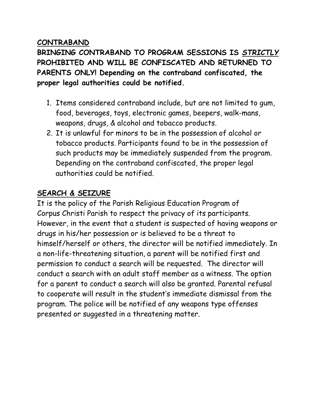#### **CONTRABAND**

**BRINGING CONTRABAND TO PROGRAM SESSIONS IS** *STRICTLY* **PROHIBITED AND WILL BE CONFISCATED AND RETURNED TO PARENTS ONLY! Depending on the contraband confiscated, the proper legal authorities could be notified.**

- 1. Items considered contraband include, but are not limited to gum, food, beverages, toys, electronic games, beepers, walk-mans, weapons, drugs, & alcohol and tobacco products.
- 2. It is unlawful for minors to be in the possession of alcohol or tobacco products. Participants found to be in the possession of such products may be immediately suspended from the program. Depending on the contraband confiscated, the proper legal authorities could be notified.

### **SEARCH & SEIZURE**

It is the policy of the Parish Religious Education Program of Corpus Christi Parish to respect the privacy of its participants. However, in the event that a student is suspected of having weapons or drugs in his/her possession or is believed to be a threat to himself/herself or others, the director will be notified immediately. In a non-life-threatening situation, a parent will be notified first and permission to conduct a search will be requested. The director will conduct a search with an adult staff member as a witness. The option for a parent to conduct a search will also be granted. Parental refusal to cooperate will result in the student's immediate dismissal from the program. The police will be notified of any weapons type offenses presented or suggested in a threatening matter.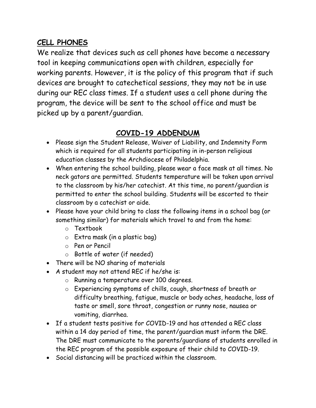### **CELL PHONES**

We realize that devices such as cell phones have become a necessary tool in keeping communications open with children, especially for working parents. However, it is the policy of this program that if such devices are brought to catechetical sessions, they may not be in use during our REC class times. If a student uses a cell phone during the program, the device will be sent to the school office and must be picked up by a parent/guardian.

# **COVID-19 ADDENDUM**

- Please sign the Student Release, Waiver of Liability, and Indemnity Form which is required for all students participating in in-person religious education classes by the Archdiocese of Philadelphia.
- When entering the school building, please wear a face mask at all times. No neck gators are permitted. Students temperature will be taken upon arrival to the classroom by his/her catechist. At this time, no parent/guardian is permitted to enter the school building. Students will be escorted to their classroom by a catechist or aide.
- Please have your child bring to class the following items in a school bag (or something similar) for materials which travel to and from the home:
	- o Textbook
	- o Extra mask (in a plastic bag)
	- o Pen or Pencil
	- o Bottle of water (if needed)
- There will be NO sharing of materials
- A student may not attend REC if he/she is:
	- o Running a temperature over 100 degrees.
	- o Experiencing symptoms of chills, cough, shortness of breath or difficulty breathing, fatigue, muscle or body aches, headache, loss of taste or smell, sore throat, congestion or runny nose, nausea or vomiting, diarrhea.
- If a student tests positive for COVID-19 and has attended a REC class within a 14 day period of time, the parent/guardian must inform the DRE. The DRE must communicate to the parents/guardians of students enrolled in the REC program of the possible exposure of their child to COVID-19.
- Social distancing will be practiced within the classroom.